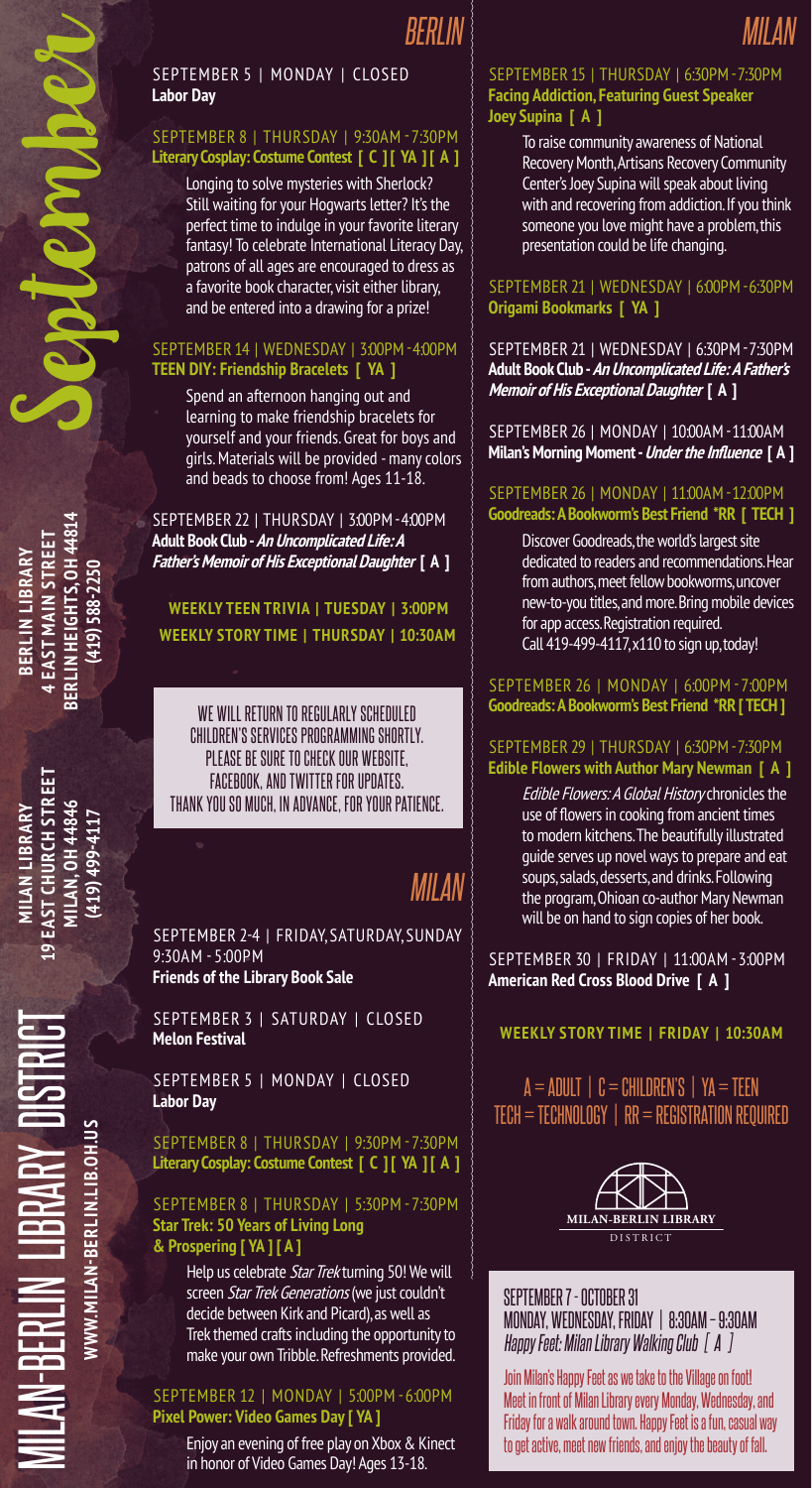#### September 5 | Monday | Closed **Labor Day**

#### September 8 | Thursday | 9:30am - 7:30pm **Literary Cosplay: Costume Contest [ C ] [ YA ] [ A ]**

Longing to solve mysteries with Sherlock? Still waiting for your Hogwarts letter? It's the perfect time to indulge in your favorite literary fantasy! To celebrate International Literacy Day, patrons of all ages are encouraged to dress as a favorite book character, visit either library, and be entered into a drawing for a prize!

#### September 14 | Wednesday | 3:00pm - 4:00pm **TEEN DIY: Friendship Bracelets [ YA ]**

Spend an afternoon hanging out and learning to make friendship bracelets for yourself and your friends. Great for boys and girls. Materials will be provided - many colors and beads to choose from! Ages 11-18.

September 22 | Thursday | 3:00pm - 4:00pm **Adult Book Club - An Uncomplicated Life: A Father's Memoir of His Exceptional Daughter [ A ]**

**Weekly Story Time | Thursday | 10:30AM Weekly TEEN TRIVIA | TUESday | 3:00PM**

We will return to regularly scheduled Children's Services programming shortly. Please be sure to check our website, Facebook, and Twitter for updates. Thank you so much, in advance, for your patience.

# *Milan*

September 2-4 | Friday, Saturday, Sunday 9:30AM - 5:00pm **Friends of the Library Book Sale**

SEPTEMBER 3 | SATURDAY | CLOSED **Melon Festival**

September 5 | Monday | Closed **Labor Day**

September 8 | Thursday | 9:30pm - 7:30pm **Literary Cosplay: Costume Contest [ C ] [ YA ] [ A ]**

#### September 8 | Thursday | 5:30pm - 7:30pm **Star Trek: 50 Years of Living Long & Prospering [ YA ] [ A ]**

Help us celebrate Star Trek turning 50! We will screen Star Trek Generations (we just couldn't decide between Kirk and Picard), as well as Trek themed crafts including the opportunity to make your own Tribble. Refreshments provided.

#### September 12 | Monday | 5:00pm - 6:00pm **Pixel Power: Video Games Day [ YA ]**

Enjoy an evening of free play on Xbox & Kinect in honor of Video Games Day! Ages 13-18.

#### September 15 | Thursday | 6:30pm - 7:30pm **Facing Addiction, Featuring Guest Speaker Joey Supina [ A ]**

*Milan*

To raise community awareness of National Recovery Month, Artisans Recovery Community Center's Joey Supina will speak about living with and recovering from addiction. If you think someone you love might have a problem, this presentation could be life changing.

#### September 21 | Wednesday | 6:00pm - 6:30pm **Origami Bookmarks [ YA ]**

September 21 | Wednesday | 6:30pm - 7:30pm **Adult Book Club - An Uncomplicated Life: A Father's Memoir of His Exceptional Daughter [ A ]**

September 26 | Monday | 10:00am - 11:00am **Milan's Morning Moment - Under the Influence [ A ]**

#### September 26 | Monday | 11:00am - 12:00pm **Goodreads: ABookworm's Best Friend \*RR [ TECH ]**

Discover Goodreads, the world's largest site dedicated to readers and recommendations. Hear from authors, meet fellow bookworms, uncover new-to-you titles, and more. Bring mobile devices for app access. Registration required. Call 419-499-4117, x110 to sign up, today!

September 26 | Monday | 6:00pm - 7:00pm **Goodreads: ABookworm's Best Friend \*RR [ TECH ]**

#### September 29 | Thursday | 6:30pm - 7:30pm **Edible Flowers with Author Mary Newman [ A ]**

Edible Flowers: A Global History chronicles the use of flowers in cooking from ancient times to modern kitchens. The beautifully illustrated guide serves up novel ways to prepare and eat soups, salads, desserts, and drinks. Following the program, Ohioan co-author Mary Newman will be on hand to sign copies of her book.

September 30 | Friday | 11:00am - 3:00pm **American Red Cross Blood Drive [ A ]**

### **Weekly Story Time | FRIDAY | 10:30AM**

### $A = ADULT$  |  $C = CHILDREN'S$  |  $YA = TEEN$  $TECH = TECHNOLOGY \mid RR = REGISTRATION REQUIRED$



September 7 - October 31 Monday, Wednesday, Friday | 8:30am – 9:30Am *Happy Feet: Milan Library Walking Club [ A ]*

Join Milan's Happy Feet as we take to the Village on foot! Meet in front of Milan Library every Monday, Wednesday, and Friday for a walk around town. Happy Feet is a fun, casual way to get active, meet new friends, and enjoy the beauty of fall.

**Berlin Heights, OH 44814** BERLIN HEIGHTS, OH 44814 **Main Street 4 East Berlin Library** BERLIN LIBRARY  $(419)$  588-2250 **(419) 588-2250**

September

**19 East Church Street** EAST CHURCH STREE 11LAN, OH 44846 **Milan, OH 44846 Milan Library (419) 499-4117** 119) 499-411

**www.milan-berlin.lib.oh.us**

VWW.MILAN-BERLIN.LIB.OH.US